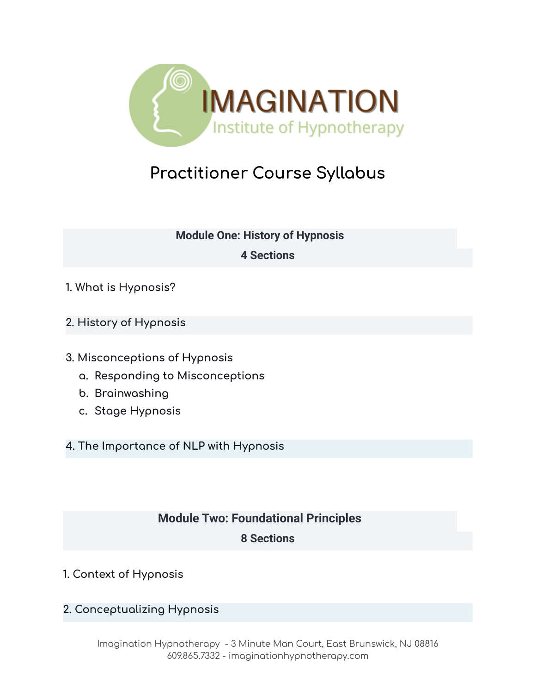

# **Practitioner Course Syllabus**

# **Module One: History of Hypnosis**

## **4 Sections**

- **1. What is Hypnosis?**
- **2. History of Hypnosis**
- **3. Misconceptions of Hypnosis**
	- **a. Responding to Misconceptions**
	- **b. Brainwashing**
	- **c. Stage Hypnosis**

**4. The Importance of NLP with Hypnosis**

# **Module Two: Foundational Principles**

# **8 Sections**

- **1. Context of Hypnosis**
- **2. Conceptualizing Hypnosis**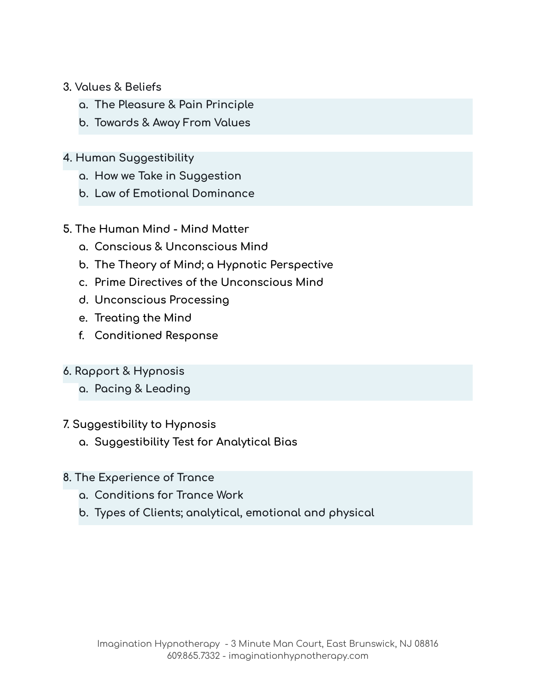#### **3. Values & Beliefs**

- **a. The Pleasure & Pain Principle**
- **b. Towards & Away From Values**

## **4. Human Suggestibility**

- **a. How we Take in Suggestion**
- **b. Law of Emotional Dominance**

#### **5. The Human Mind - Mind Matter**

- **a. Conscious & Unconscious Mind**
- **b. The Theory of Mind; a Hypnotic Perspective**
- **c. Prime Directives of the Unconscious Mind**
- **d. Unconscious Processing**
- **e. Treating the Mind**
- **f. Conditioned Response**

## **6. Rapport & Hypnosis**

**a. Pacing & Leading**

#### **7. Suggestibility to Hypnosis**

**a. Suggestibility Test for Analytical Bias**

#### **8. The Experience of Trance**

- **a. Conditions for Trance Work**
- **b. Types of Clients; analytical, emotional and physical**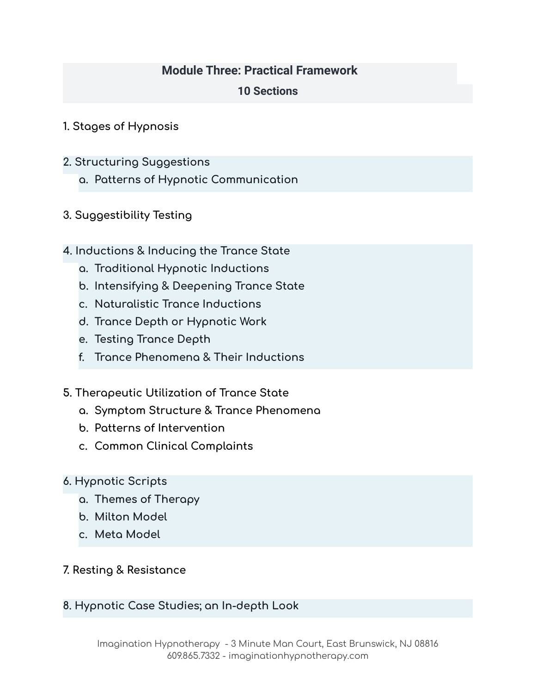## **Module Three: Practical Framework**

## **10 Sections**

- **1. Stages of Hypnosis**
- **2. Structuring Suggestions**
	- **a. Patterns of Hypnotic Communication**
- **3. Suggestibility Testing**
- **4. Inductions & Inducing the Trance State**
	- **a. Traditional Hypnotic Inductions**
	- **b. Intensifying & Deepening Trance State**
	- **c. Naturalistic Trance Inductions**
	- **d. Trance Depth or Hypnotic Work**
	- **e. Testing Trance Depth**
	- **f. Trance Phenomena & Their Inductions**
- **5. Therapeutic Utilization of Trance State**
	- **a. Symptom Structure & Trance Phenomena**
	- **b. Patterns of Intervention**
	- **c. Common Clinical Complaints**
- **6. Hypnotic Scripts**
	- **a. Themes of Therapy**
	- **b. Milton Model**
	- **c. Meta Model**
- **7. Resting & Resistance**
- **8. Hypnotic Case Studies; an In-depth Look**